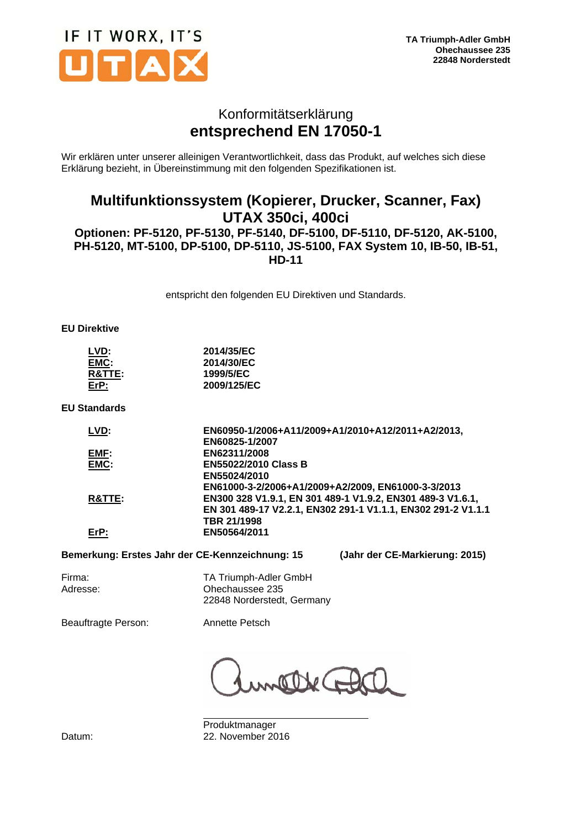

### Konformitätserklärung **entsprechend EN 17050-1**

Wir erklären unter unserer alleinigen Verantwortlichkeit, dass das Produkt, auf welches sich diese Erklärung bezieht, in Übereinstimmung mit den folgenden Spezifikationen ist.

### **Multifunktionssystem (Kopierer, Drucker, Scanner, Fax) UTAX 350ci, 400ci Optionen: PF-5120, PF-5130, PF-5140, DF-5100, DF-5110, DF-5120, AK-5100, PH-5120, MT-5100, DP-5100, DP-5110, JS-5100, FAX System 10, IB-50, IB-51, HD-11**

entspricht den folgenden EU Direktiven und Standards.

#### **EU Direktive**

| LVD:              | 2014/35/EC  |
|-------------------|-------------|
| EMC:              | 2014/30/EC  |
| <b>R&amp;TTE:</b> | 1999/5/EC   |
| $E$ r $P$ :       | 2009/125/EC |

**EU Standards** 

| EN60950-1/2006+A11/2009+A1/2010+A12/2011+A2/2013,            |
|--------------------------------------------------------------|
| EN60825-1/2007                                               |
| EN62311/2008                                                 |
| <b>EN55022/2010 Class B</b>                                  |
| EN55024/2010                                                 |
| EN61000-3-2/2006+A1/2009+A2/2009, EN61000-3-3/2013           |
| EN300 328 V1.9.1, EN 301 489-1 V1.9.2, EN301 489-3 V1.6.1,   |
| EN 301 489-17 V2.2.1, EN302 291-1 V1.1.1, EN302 291-2 V1.1.1 |
| TBR 21/1998                                                  |
| EN50564/2011                                                 |
|                                                              |

#### **Bemerkung: Erstes Jahr der CE-Kennzeichnung: 15 (Jahr der CE-Markierung: 2015)**

Firma: TA Triumph-Adler GmbH Adresse: Ohechaussee 235 22848 Norderstedt, Germany

Beauftragte Person: Annette Petsch

 Produktmanager Datum: 22. November 2016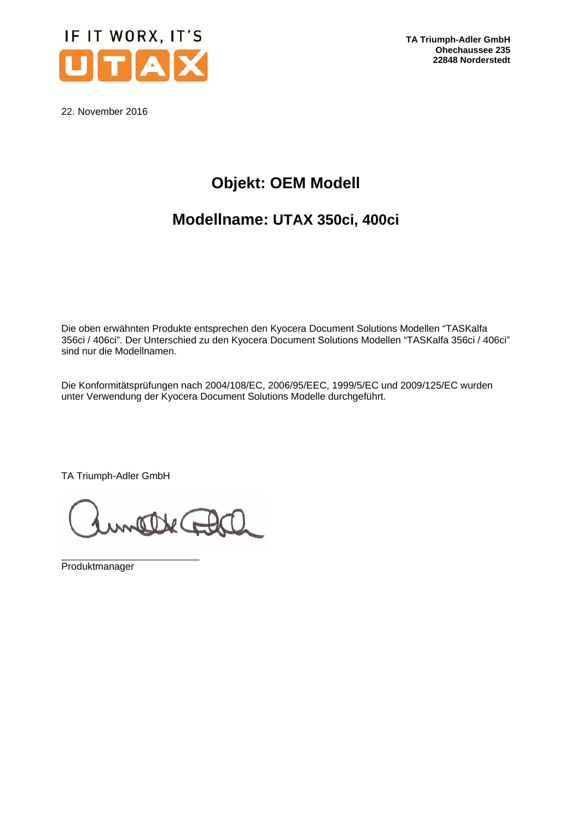

**TA Triumph-Adler GmbH Ohechaussee 235 22848 Norderstedt** 

22. November 2016

# **Objekt: OEM Modell**

## **Modellname: UTAX 350ci, 400ci**

Die oben erwähnten Produkte entsprechen den Kyocera Document Solutions Modellen "TASKalfa 356ci / 406ci". Der Unterschied zu den Kyocera Document Solutions Modellen "TASKalfa 356ci / 406ci" sind nur die Modellnamen.

Die Konformitätsprüfungen nach 2004/108/EC, 2006/95/EEC, 1999/5/EC und 2009/125/EC wurden unter Verwendung der Kyocera Document Solutions Modelle durchgeführt.

TA Triumph-Adler GmbH

attec

 Produktmanager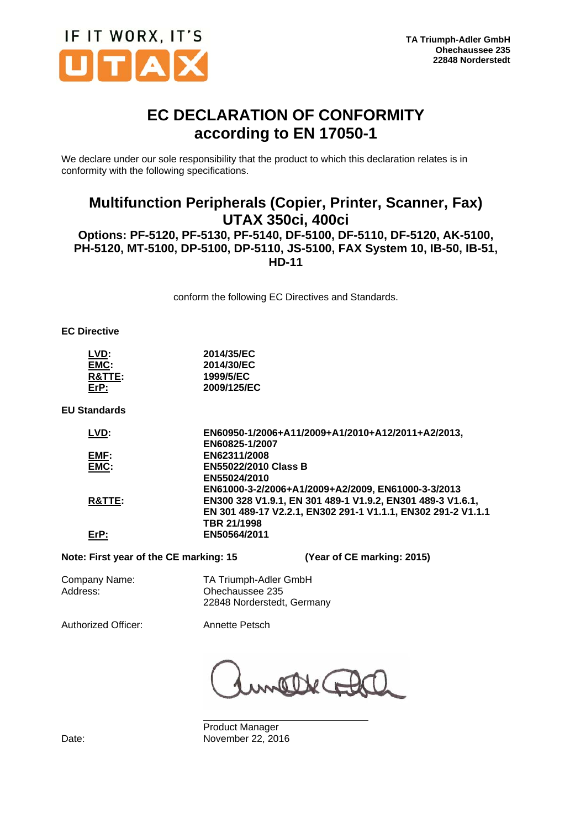

## **EC DECLARATION OF CONFORMITY according to EN 17050-1**

We declare under our sole responsibility that the product to which this declaration relates is in conformity with the following specifications.

### **Multifunction Peripherals (Copier, Printer, Scanner, Fax) UTAX 350ci, 400ci Options: PF-5120, PF-5130, PF-5140, DF-5100, DF-5110, DF-5120, AK-5100, PH-5120, MT-5100, DP-5100, DP-5110, JS-5100, FAX System 10, IB-50, IB-51, HD-11**

conform the following EC Directives and Standards.

#### **EC Directive**

| LVD:              | 2014/35/EC  |
|-------------------|-------------|
| EMC:              | 2014/30/EC  |
| <b>R&amp;TTE:</b> | 1999/5/EC   |
| $E$ r $P$ :       | 2009/125/EC |

**EU Standards** 

| LVD:   | EN60950-1/2006+A11/2009+A1/2010+A12/2011+A2/2013,            |
|--------|--------------------------------------------------------------|
|        | EN60825-1/2007                                               |
| EMF:   | EN62311/2008                                                 |
| EMC:   | <b>EN55022/2010 Class B</b>                                  |
|        | EN55024/2010                                                 |
|        | EN61000-3-2/2006+A1/2009+A2/2009, EN61000-3-3/2013           |
| R&TTE: | EN300 328 V1.9.1, EN 301 489-1 V1.9.2, EN301 489-3 V1.6.1,   |
|        | EN 301 489-17 V2.2.1, EN302 291-1 V1.1.1, EN302 291-2 V1.1.1 |
|        | TBR 21/1998                                                  |
| ErP:   | EN50564/2011                                                 |
|        |                                                              |

**Note: First year of the CE marking: 15 (Year of CE marking: 2015)** 

Company Name: TA Triumph-Adler GmbH Address: Ohechaussee 235

22848 Norderstedt, Germany

Authorized Officer: Annette Petsch

 $\circ$ 

 Product Manager Date: November 22, 2016